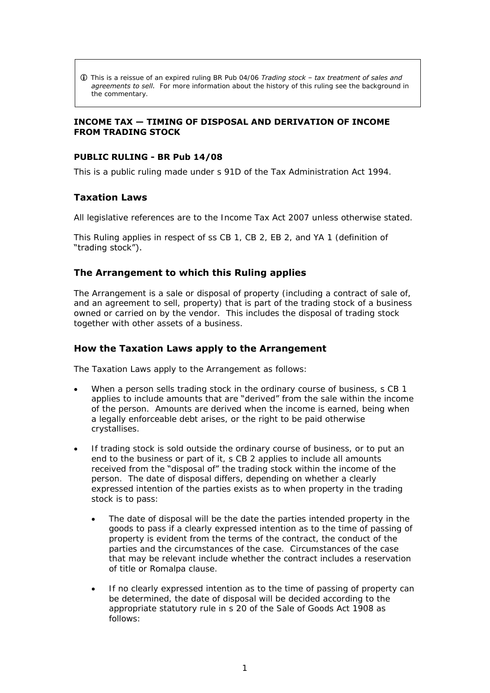This is a reissue of an expired ruling BR Pub 04/06 *Trading stock – tax treatment of sales and*  **agreements to sell.** For more information about the history of this ruling see the background in the commentary.

### **INCOME TAX — TIMING OF DISPOSAL AND DERIVATION OF INCOME FROM TRADING STOCK**

### **PUBLIC RULING - BR Pub 14/08**

This is a public ruling made under s 91D of the Tax Administration Act 1994.

# **Taxation Laws**

All legislative references are to the Income Tax Act 2007 unless otherwise stated.

This Ruling applies in respect of ss CB 1, CB 2, EB 2, and YA 1 (definition of "trading stock").

## **The Arrangement to which this Ruling applies**

The Arrangement is a sale or disposal of property (including a contract of sale of, and an agreement to sell, property) that is part of the trading stock of a business owned or carried on by the vendor. This includes the disposal of trading stock together with other assets of a business.

# **How the Taxation Laws apply to the Arrangement**

The Taxation Laws apply to the Arrangement as follows:

- When a person sells trading stock in the ordinary course of business, s CB 1 applies to include amounts that are "derived" from the sale within the income of the person. Amounts are derived when the income is earned, being when a legally enforceable debt arises, or the right to be paid otherwise crystallises.
- If trading stock is sold outside the ordinary course of business, or to put an end to the business or part of it, s CB 2 applies to include all amounts received from the "disposal of" the trading stock within the income of the person. The date of disposal differs, depending on whether a clearly expressed intention of the parties exists as to when property in the trading stock is to pass:
	- The date of disposal will be the date the parties intended property in the goods to pass if a clearly expressed intention as to the time of passing of property is evident from the terms of the contract, the conduct of the parties and the circumstances of the case. Circumstances of the case that may be relevant include whether the contract includes a reservation of title or Romalpa clause.
	- If no clearly expressed intention as to the time of passing of property can be determined, the date of disposal will be decided according to the appropriate statutory rule in s 20 of the Sale of Goods Act 1908 as follows: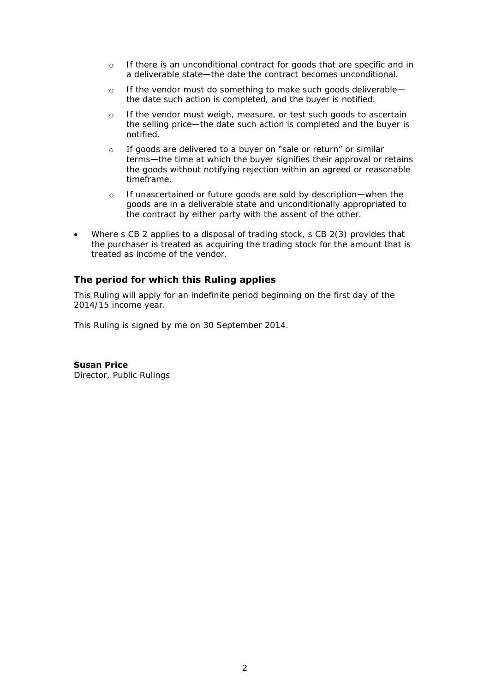- o If there is an unconditional contract for goods that are specific and in a deliverable state—the date the contract becomes unconditional.
- o If the vendor must do something to make such goods deliverable the date such action is completed, and the buyer is notified.
- o If the vendor must weigh, measure, or test such goods to ascertain the selling price—the date such action is completed and the buyer is notified.
- $\circ$  If goods are delivered to a buyer on "sale or return" or similar terms—the time at which the buyer signifies their approval or retains the goods without notifying rejection within an agreed or reasonable timeframe.
- o If unascertained or future goods are sold by description—when the goods are in a deliverable state and unconditionally appropriated to the contract by either party with the assent of the other.
- Where s CB 2 applies to a disposal of trading stock, s CB 2(3) provides that the purchaser is treated as acquiring the trading stock for the amount that is treated as income of the vendor.

# **The period for which this Ruling applies**

This Ruling will apply for an indefinite period beginning on the first day of the 2014/15 income year.

This Ruling is signed by me on 30 September 2014.

**Susan Price**  Director, Public Rulings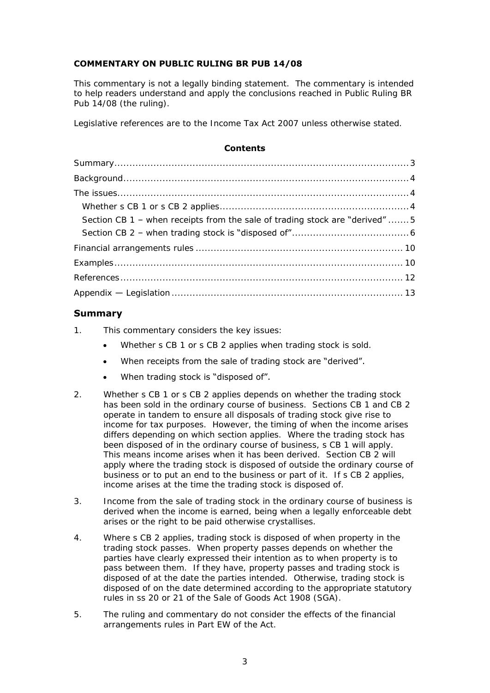# **COMMENTARY ON PUBLIC RULING BR PUB 14/08**

This commentary is not a legally binding statement. The commentary is intended to help readers understand and apply the conclusions reached in Public Ruling BR Pub 14/08 (the ruling).

Legislative references are to the Income Tax Act 2007 unless otherwise stated.

### **Contents**

| Section CB 1 - when receipts from the sale of trading stock are "derived"  5 |
|------------------------------------------------------------------------------|
|                                                                              |
|                                                                              |
|                                                                              |
|                                                                              |
|                                                                              |

# <span id="page-2-0"></span>**Summary**

- 1. This commentary considers the key issues:
	- Whether s CB 1 or s CB 2 applies when trading stock is sold.
	- When receipts from the sale of trading stock are "derived".
	- When trading stock is "disposed of".
- 2. Whether s CB 1 or s CB 2 applies depends on whether the trading stock has been sold in the ordinary course of business. Sections CB 1 and CB 2 operate in tandem to ensure all disposals of trading stock give rise to income for tax purposes. However, the timing of when the income arises differs depending on which section applies. Where the trading stock has been disposed of in the ordinary course of business, s CB 1 will apply. This means income arises when it has been derived. Section CB 2 will apply where the trading stock is disposed of outside the ordinary course of business or to put an end to the business or part of it. If s CB 2 applies, income arises at the time the trading stock is disposed of.
- 3. Income from the sale of trading stock in the ordinary course of business is derived when the income is earned, being when a legally enforceable debt arises or the right to be paid otherwise crystallises.
- 4. Where s CB 2 applies, trading stock is disposed of when property in the trading stock passes. When property passes depends on whether the parties have clearly expressed their intention as to when property is to pass between them. If they have, property passes and trading stock is disposed of at the date the parties intended. Otherwise, trading stock is disposed of on the date determined according to the appropriate statutory rules in ss 20 or 21 of the Sale of Goods Act 1908 (SGA).
- 5. The ruling and commentary do not consider the effects of the financial arrangements rules in Part EW of the Act.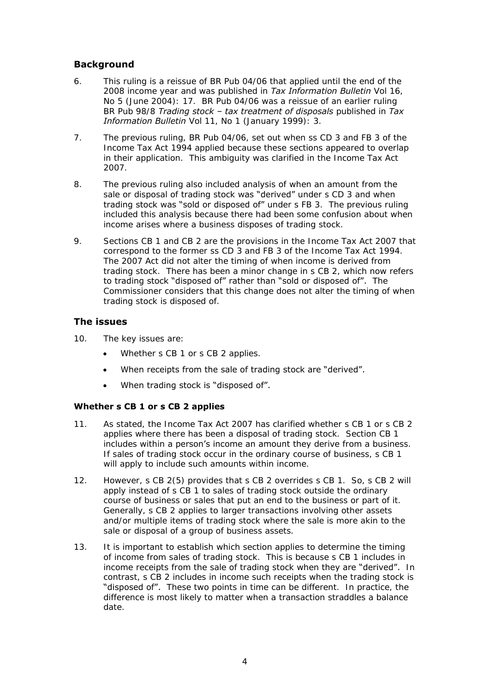# <span id="page-3-0"></span>**Background**

- 6. This ruling is a reissue of BR Pub 04/06 that applied until the end of the 2008 income year and was published in *Tax Information Bulletin* Vol 16, No 5 (June 2004): 17. BR Pub 04/06 was a reissue of an earlier ruling BR Pub 98/8 *Trading stock – tax treatment of disposals* published in *Tax Information Bulletin* Vol 11, No 1 (January 1999): 3.
- 7. The previous ruling, BR Pub 04/06, set out when ss CD 3 and FB 3 of the Income Tax Act 1994 applied because these sections appeared to overlap in their application. This ambiguity was clarified in the Income Tax Act 2007.
- 8. The previous ruling also included analysis of when an amount from the sale or disposal of trading stock was "derived" under s CD 3 and when trading stock was "sold or disposed of" under s FB 3. The previous ruling included this analysis because there had been some confusion about when income arises where a business disposes of trading stock.
- 9. Sections CB 1 and CB 2 are the provisions in the Income Tax Act 2007 that correspond to the former ss CD 3 and FB 3 of the Income Tax Act 1994. The 2007 Act did not alter the timing of when income is derived from trading stock. There has been a minor change in s CB 2, which now refers to trading stock "disposed of" rather than "sold or disposed of". The Commissioner considers that this change does not alter the timing of when trading stock is disposed of.

# <span id="page-3-1"></span>**The issues**

- 10. The key issues are:
	- Whether s CB 1 or s CB 2 applies.
	- When receipts from the sale of trading stock are "derived".
	- When trading stock is "disposed of".

## <span id="page-3-2"></span>**Whether s CB 1 or s CB 2 applies**

- 11. As stated, the Income Tax Act 2007 has clarified whether s CB 1 or s CB 2 applies where there has been a disposal of trading stock. Section CB 1 includes within a person's income an amount they derive from a business. If sales of trading stock occur in the ordinary course of business, s CB 1 will apply to include such amounts within income.
- 12. However, s CB 2(5) provides that s CB 2 overrides s CB 1. So, s CB 2 will apply instead of s CB 1 to sales of trading stock outside the ordinary course of business or sales that put an end to the business or part of it. Generally, s CB 2 applies to larger transactions involving other assets and/or multiple items of trading stock where the sale is more akin to the sale or disposal of a group of business assets.
- 13. It is important to establish which section applies to determine the timing of income from sales of trading stock. This is because s CB 1 includes in income receipts from the sale of trading stock when they are "derived". In contrast, s CB 2 includes in income such receipts when the trading stock is "disposed of". These two points in time can be different. In practice, the difference is most likely to matter when a transaction straddles a balance date.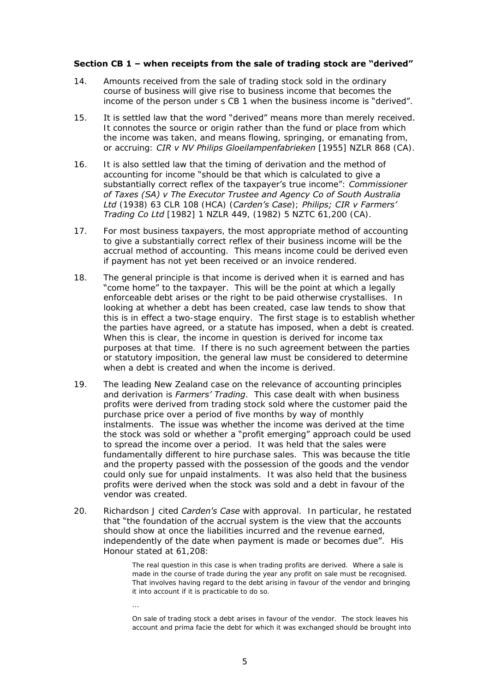### <span id="page-4-0"></span>**Section CB 1 - when receipts from the sale of trading stock are "derived"**

- 14. Amounts received from the sale of trading stock sold in the ordinary course of business will give rise to business income that becomes the income of the person under s CB 1 when the business income is "derived".
- 15. It is settled law that the word "derived" means more than merely received. It connotes the source or origin rather than the fund or place from which the income was taken, and means flowing, springing, or emanating from, or accruing: *CIR v NV Philips Gloeilampenfabrieken* [1955] NZLR 868 (CA).
- 16. It is also settled law that the timing of derivation and the method of accounting for income "should be that which is calculated to give a substantially correct reflex of the taxpayer's true income": *Commissioner of Taxes (SA) v The Executor Trustee and Agency Co of South Australia Ltd* (1938) 63 CLR 108 (HCA) (*Carden's Case*); *Philips; CIR v Farmers' Trading Co Ltd* [1982] 1 NZLR 449, (1982) 5 NZTC 61,200 (CA).
- 17. For most business taxpayers, the most appropriate method of accounting to give a substantially correct reflex of their business income will be the accrual method of accounting. This means income could be derived even if payment has not yet been received or an invoice rendered.
- 18. The general principle is that income is derived when it is earned and has "come home" to the taxpayer. This will be the point at which a legally enforceable debt arises or the right to be paid otherwise crystallises. In looking at whether a debt has been created, case law tends to show that this is in effect a two-stage enquiry. The first stage is to establish whether the parties have agreed, or a statute has imposed, when a debt is created. When this is clear, the income in question is derived for income tax purposes at that time. If there is no such agreement between the parties or statutory imposition, the general law must be considered to determine when a debt is created and when the income is derived.
- 19. The leading New Zealand case on the relevance of accounting principles and derivation is *Farmers' Trading*. This case dealt with when business profits were derived from trading stock sold where the customer paid the purchase price over a period of five months by way of monthly instalments. The issue was whether the income was derived at the time the stock was sold or whether a "profit emerging" approach could be used to spread the income over a period. It was held that the sales were fundamentally different to hire purchase sales. This was because the title and the property passed with the possession of the goods and the vendor could only sue for unpaid instalments. It was also held that the business profits were derived when the stock was sold and a debt in favour of the vendor was created.
- 20. Richardson J cited *Carden's Case* with approval. In particular, he restated that "the foundation of the accrual system is the view that the accounts should show at once the liabilities incurred and the revenue earned, independently of the date when payment is made or becomes due". His Honour stated at 61,208:

The real question in this case is when trading profits are derived. Where a sale is made in the course of trade during the year any profit on sale must be recognised. That involves having regard to the debt arising in favour of the vendor and bringing it into account if it is practicable to do so.

On sale of trading stock a debt arises in favour of the vendor. The stock leaves his account and prima facie the debt for which it was exchanged should be brought into

...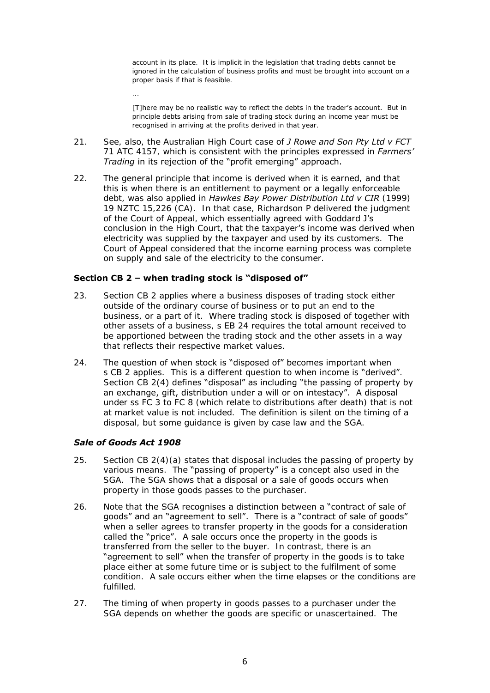account in its place. It is implicit in the legislation that trading debts cannot be ignored in the calculation of business profits and must be brought into account on a proper basis if that is feasible.

[T]here may be no realistic way to reflect the debts in the trader's account. But in principle debts arising from sale of trading stock during an income year must be recognised in arriving at the profits derived in that year.

- 21. See, also, the Australian High Court case of *J Rowe and Son Pty Ltd v FCT* 71 ATC 4157, which is consistent with the principles expressed in *Farmers' Trading* in its rejection of the "profit emerging" approach.
- 22. The general principle that income is derived when it is earned, and that this is when there is an entitlement to payment or a legally enforceable debt, was also applied in *Hawkes Bay Power Distribution Ltd v CIR* (1999) 19 NZTC 15,226 (CA). In that case, Richardson P delivered the judgment of the Court of Appeal, which essentially agreed with Goddard J's conclusion in the High Court, that the taxpayer's income was derived when electricity was supplied by the taxpayer and used by its customers. The Court of Appeal considered that the income earning process was complete on supply and sale of the electricity to the consumer.

### <span id="page-5-0"></span>**Section CB 2 - when trading stock is "disposed of"**

- 23. Section CB 2 applies where a business disposes of trading stock either outside of the ordinary course of business or to put an end to the business, or a part of it. Where trading stock is disposed of together with other assets of a business, s EB 24 requires the total amount received to be apportioned between the trading stock and the other assets in a way that reflects their respective market values.
- 24. The question of when stock is "disposed of" becomes important when s CB 2 applies. This is a different question to when income is "derived". Section CB 2(4) defines "disposal" as including "the passing of property by an exchange, gift, distribution under a will or on intestacy". A disposal under ss FC 3 to FC 8 (which relate to distributions after death) that is not at market value is not included. The definition is silent on the timing of a disposal, but some guidance is given by case law and the SGA.

## *Sale of Goods Act 1908*

...

- 25. Section CB 2(4)(a) states that disposal includes the passing of property by various means. The "passing of property" is a concept also used in the SGA. The SGA shows that a disposal or a sale of goods occurs when property in those goods passes to the purchaser.
- 26. Note that the SGA recognises a distinction between a "contract of sale of goods" and an "agreement to sell". There is a "contract of sale of goods" when a seller agrees to transfer property in the goods for a consideration called the "price". A sale occurs once the property in the goods is transferred from the seller to the buyer. In contrast, there is an "agreement to sell" when the transfer of property in the goods is to take place either at some future time or is subject to the fulfilment of some condition. A sale occurs either when the time elapses or the conditions are fulfilled.
- 27. The timing of when property in goods passes to a purchaser under the SGA depends on whether the goods are specific or unascertained. The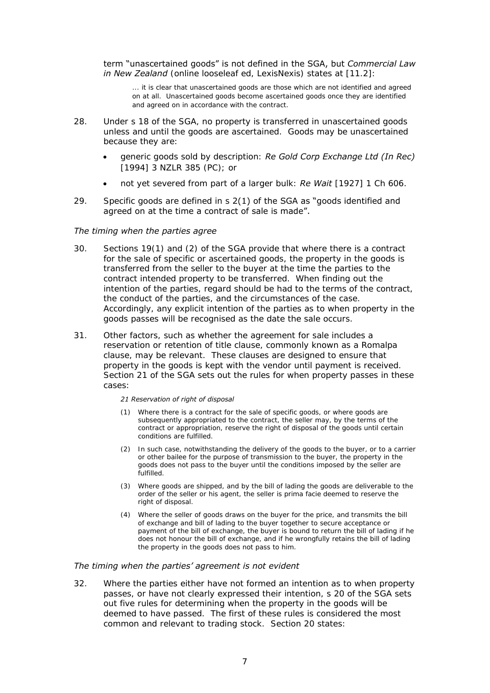term "unascertained goods" is not defined in the SGA, but *Commercial Law in New Zealand* (online looseleaf ed, LexisNexis) states at [11.2]:

... it is clear that unascertained goods are those which are not identified and agreed on at all. Unascertained goods become ascertained goods once they are identified and agreed on in accordance with the contract.

- 28. Under s 18 of the SGA, no property is transferred in unascertained goods unless and until the goods are ascertained. Goods may be unascertained because they are:
	- generic goods sold by description: *Re Gold Corp Exchange Ltd (In Rec)* [1994] 3 NZLR 385 (PC); or
	- not yet severed from part of a larger bulk: *Re Wait* [1927] 1 Ch 606.
- 29. Specific goods are defined in s  $2(1)$  of the SGA as "goods identified and agreed on at the time a contract of sale is made".

### *The timing when the parties agree*

- 30. Sections 19(1) and (2) of the SGA provide that where there is a contract for the sale of specific or ascertained goods, the property in the goods is transferred from the seller to the buyer at the time the parties to the contract intended property to be transferred. When finding out the intention of the parties, regard should be had to the terms of the contract, the conduct of the parties, and the circumstances of the case. Accordingly, any explicit intention of the parties as to when property in the goods passes will be recognised as the date the sale occurs.
- 31. Other factors, such as whether the agreement for sale includes a reservation or retention of title clause, commonly known as a Romalpa clause, may be relevant. These clauses are designed to ensure that property in the goods is kept with the vendor until payment is received. Section 21 of the SGA sets out the rules for when property passes in these cases:

### *21 Reservation of right of disposal*

- (1) Where there is a contract for the sale of specific goods, or where goods are subsequently appropriated to the contract, the seller may, by the terms of the contract or appropriation, reserve the right of disposal of the goods until certain conditions are fulfilled.
- (2) In such case, notwithstanding the delivery of the goods to the buyer, or to a carrier or other bailee for the purpose of transmission to the buyer, the property in the goods does not pass to the buyer until the conditions imposed by the seller are fulfilled.
- (3) Where goods are shipped, and by the bill of lading the goods are deliverable to the order of the seller or his agent, the seller is prima facie deemed to reserve the right of disposal.
- (4) Where the seller of goods draws on the buyer for the price, and transmits the bill of exchange and bill of lading to the buyer together to secure acceptance or payment of the bill of exchange, the buyer is bound to return the bill of lading if he does not honour the bill of exchange, and if he wrongfully retains the bill of lading the property in the goods does not pass to him.

### *The timing when the parties' agreement is not evident*

32. Where the parties either have not formed an intention as to when property passes, or have not clearly expressed their intention, s 20 of the SGA sets out five rules for determining when the property in the goods will be deemed to have passed. The first of these rules is considered the most common and relevant to trading stock. Section 20 states: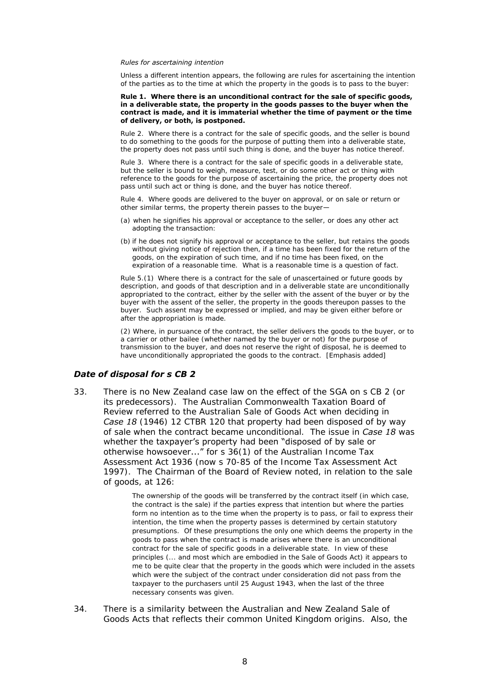#### *Rules for ascertaining intention*

Unless a different intention appears, the following are rules for ascertaining the intention of the parties as to the time at which the property in the goods is to pass to the buyer:

#### **Rule 1. Where there is an unconditional contract for the sale of specific goods, in a deliverable state, the property in the goods passes to the buyer when the contract is made, and it is immaterial whether the time of payment or the time of delivery, or both, is postponed.**

Rule 2. Where there is a contract for the sale of specific goods, and the seller is bound to do something to the goods for the purpose of putting them into a deliverable state, the property does not pass until such thing is done, and the buyer has notice thereof.

Rule 3. Where there is a contract for the sale of specific goods in a deliverable state, but the seller is bound to weigh, measure, test, or do some other act or thing with reference to the goods for the purpose of ascertaining the price, the property does not pass until such act or thing is done, and the buyer has notice thereof.

Rule 4. Where goods are delivered to the buyer on approval, or on sale or return or other similar terms, the property therein passes to the buyer—

- (a) when he signifies his approval or acceptance to the seller, or does any other act adopting the transaction:
- (b) if he does not signify his approval or acceptance to the seller, but retains the goods without giving notice of rejection then, if a time has been fixed for the return of the goods, on the expiration of such time, and if no time has been fixed, on the expiration of a reasonable time. What is a reasonable time is a question of fact.

Rule 5.(1) Where there is a contract for the sale of unascertained or future goods by description, and goods of that description and in a deliverable state are unconditionally appropriated to the contract, either by the seller with the assent of the buyer or by the buyer with the assent of the seller, the property in the goods thereupon passes to the buyer. Such assent may be expressed or implied, and may be given either before or after the appropriation is made.

(2) Where, in pursuance of the contract, the seller delivers the goods to the buyer, or to a carrier or other bailee (whether named by the buyer or not) for the purpose of transmission to the buyer, and does not reserve the right of disposal, he is deemed to have unconditionally appropriated the goods to the contract. [Emphasis added]

### *Date of disposal for s CB 2*

33. There is no New Zealand case law on the effect of the SGA on s CB 2 (or its predecessors). The Australian Commonwealth Taxation Board of Review referred to the Australian Sale of Goods Act when deciding in *Case 18* (1946) 12 CTBR 120 that property had been disposed of by way of sale when the contract became unconditional. The issue in *Case 18* was whether the taxpayer's property had been "disposed of by sale or otherwise howsoever..." for s 36(1) of the Australian Income Tax Assessment Act 1936 (now s 70-85 of the Income Tax Assessment Act 1997). The Chairman of the Board of Review noted, in relation to the sale of goods, at 126:

> The ownership of the goods will be transferred by the contract itself (in which case, the contract is the sale) if the parties express that intention but where the parties form no intention as to the time when the property is to pass, or fail to express their intention, the time when the property passes is determined by certain statutory presumptions. Of these presumptions the only one which deems the property in the goods to pass when the contract is made arises where there is an unconditional contract for the sale of specific goods in a deliverable state. In view of these principles (... and most which are embodied in the Sale of Goods Act) it appears to me to be quite clear that the property in the goods which were included in the assets which were the subject of the contract under consideration did not pass from the taxpayer to the purchasers until 25 August 1943, when the last of the three necessary consents was given.

34. There is a similarity between the Australian and New Zealand Sale of Goods Acts that reflects their common United Kingdom origins. Also, the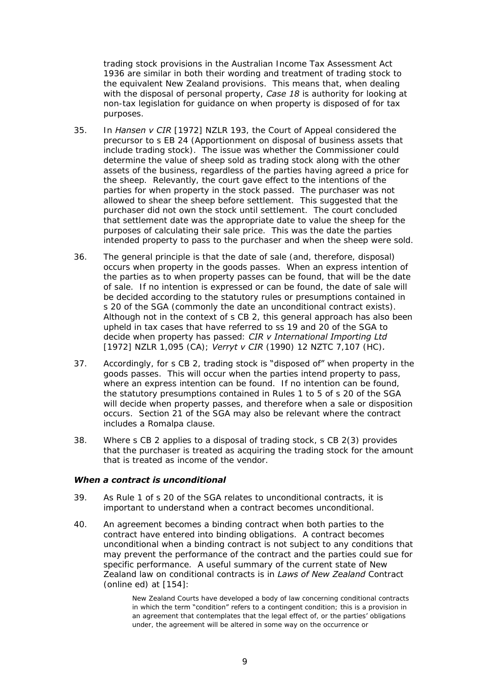trading stock provisions in the Australian Income Tax Assessment Act 1936 are similar in both their wording and treatment of trading stock to the equivalent New Zealand provisions. This means that, when dealing with the disposal of personal property, *Case 18* is authority for looking at non-tax legislation for guidance on when property is disposed of for tax purposes.

- 35. In *Hansen v CIR* [1972] NZLR 193, the Court of Appeal considered the precursor to s EB 24 (Apportionment on disposal of business assets that include trading stock). The issue was whether the Commissioner could determine the value of sheep sold as trading stock along with the other assets of the business, regardless of the parties having agreed a price for the sheep. Relevantly, the court gave effect to the intentions of the parties for when property in the stock passed. The purchaser was not allowed to shear the sheep before settlement. This suggested that the purchaser did not own the stock until settlement. The court concluded that settlement date was the appropriate date to value the sheep for the purposes of calculating their sale price. This was the date the parties intended property to pass to the purchaser and when the sheep were sold.
- 36. The general principle is that the date of sale (and, therefore, disposal) occurs when property in the goods passes. When an express intention of the parties as to when property passes can be found, that will be the date of sale. If no intention is expressed or can be found, the date of sale will be decided according to the statutory rules or presumptions contained in s 20 of the SGA (commonly the date an unconditional contract exists). Although not in the context of s CB 2, this general approach has also been upheld in tax cases that have referred to ss 19 and 20 of the SGA to decide when property has passed: *CIR v International Importing Ltd*  [1972] NZLR 1,095 (CA); *Verryt v CIR* (1990) 12 NZTC 7,107 (HC)*.*
- 37. Accordingly, for  $S \text{ CB } 2$ , trading stock is "disposed of" when property in the goods passes. This will occur when the parties intend property to pass, where an express intention can be found. If no intention can be found, the statutory presumptions contained in Rules 1 to 5 of s 20 of the SGA will decide when property passes, and therefore when a sale or disposition occurs. Section 21 of the SGA may also be relevant where the contract includes a Romalpa clause.
- 38. Where s CB 2 applies to a disposal of trading stock, s CB 2(3) provides that the purchaser is treated as acquiring the trading stock for the amount that is treated as income of the vendor.

### *When a contract is unconditional*

- 39. As Rule 1 of s 20 of the SGA relates to unconditional contracts, it is important to understand when a contract becomes unconditional.
- 40. An agreement becomes a binding contract when both parties to the contract have entered into binding obligations. A contract becomes unconditional when a binding contract is not subject to any conditions that may prevent the performance of the contract and the parties could sue for specific performance. A useful summary of the current state of New Zealand law on conditional contracts is in *Laws of New Zealand* Contract (online ed) at [154]:

New Zealand Courts have developed a body of law concerning conditional contracts in which the term "condition" refers to a contingent condition; this is a provision in an agreement that contemplates that the legal effect of, or the parties' obligations under, the agreement will be altered in some way on the occurrence or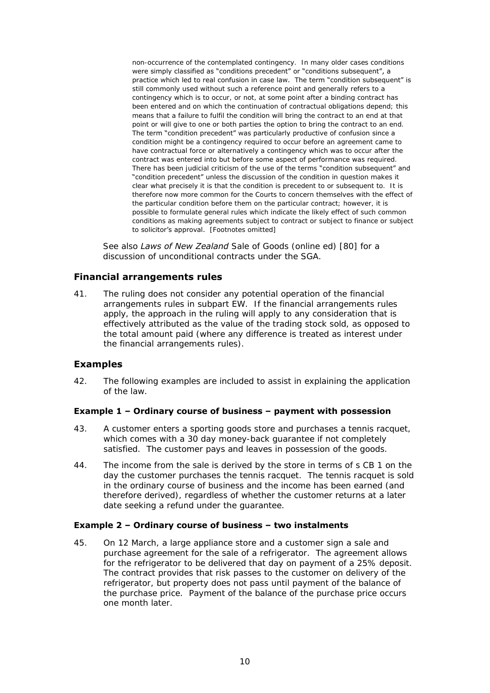non-occurrence of the contemplated contingency. In many older cases conditions were simply classified as "conditions precedent" or "conditions subsequent", a practice which led to real confusion in case law. The term "condition subsequent" is .<br>still commonly used without such a reference point and generally refers to a contingency which is to occur, or not, at some point after a binding contract has been entered and on which the continuation of contractual obligations depend; this means that a failure to fulfil the condition will bring the contract to an end at that point or will give to one or both parties the option to bring the contract to an end. The term "condition precedent" was particularly productive of confusion since a condition might be a contingency required to occur before an agreement came to have contractual force or alternatively a contingency which was to occur after the contract was entered into but before some aspect of performance was required. There has been judicial criticism of the use of the terms "condition subsequent" and "condition precedent" unless the discussion of the condition in question makes it clear what precisely it is that the condition is precedent to or subsequent to. It is therefore now more common for the Courts to concern themselves with the effect of the particular condition before them on the particular contract; however, it is possible to formulate general rules which indicate the likely effect of such common conditions as making agreements subject to contract or subject to finance or subject to solicitor's approval. [Footnotes omitted]

See also *Laws of New Zealand* Sale of Goods (online ed) [80] for a discussion of unconditional contracts under the SGA.

# <span id="page-9-0"></span>**Financial arrangements rules**

41. The ruling does not consider any potential operation of the financial arrangements rules in subpart EW. If the financial arrangements rules apply, the approach in the ruling will apply to any consideration that is effectively attributed as the value of the trading stock sold, as opposed to the total amount paid (where any difference is treated as interest under the financial arrangements rules).

# <span id="page-9-1"></span>**Examples**

42. The following examples are included to assist in explaining the application of the law.

## **Example 1 – Ordinary course of business – payment with possession**

- 43. A customer enters a sporting goods store and purchases a tennis racquet, which comes with a 30 day money-back guarantee if not completely satisfied. The customer pays and leaves in possession of the goods.
- 44. The income from the sale is derived by the store in terms of s CB 1 on the day the customer purchases the tennis racquet. The tennis racquet is sold in the ordinary course of business and the income has been earned (and therefore derived), regardless of whether the customer returns at a later date seeking a refund under the guarantee.

## **Example 2 – Ordinary course of business – two instalments**

45. On 12 March, a large appliance store and a customer sign a sale and purchase agreement for the sale of a refrigerator. The agreement allows for the refrigerator to be delivered that day on payment of a 25% deposit. The contract provides that risk passes to the customer on delivery of the refrigerator, but property does not pass until payment of the balance of the purchase price. Payment of the balance of the purchase price occurs one month later.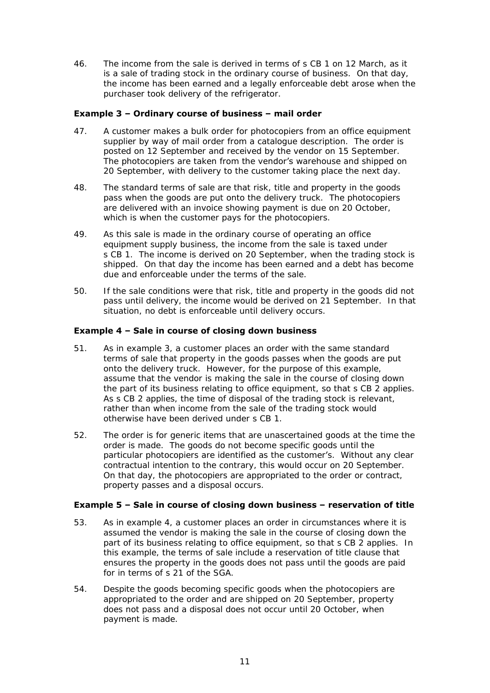46. The income from the sale is derived in terms of s CB 1 on 12 March, as it is a sale of trading stock in the ordinary course of business. On that day, the income has been earned and a legally enforceable debt arose when the purchaser took delivery of the refrigerator.

## **Example 3 – Ordinary course of business – mail order**

- 47. A customer makes a bulk order for photocopiers from an office equipment supplier by way of mail order from a catalogue description. The order is posted on 12 September and received by the vendor on 15 September. The photocopiers are taken from the **vendor's** warehouse and shipped on 20 September, with delivery to the customer taking place the next day.
- 48. The standard terms of sale are that risk, title and property in the goods pass when the goods are put onto the delivery truck. The photocopiers are delivered with an invoice showing payment is due on 20 October, which is when the customer pays for the photocopiers.
- 49. As this sale is made in the ordinary course of operating an office equipment supply business, the income from the sale is taxed under s CB 1. The income is derived on 20 September, when the trading stock is shipped. On that day the income has been earned and a debt has become due and enforceable under the terms of the sale.
- 50. If the sale conditions were that risk, title and property in the goods did not pass until delivery, the income would be derived on 21 September. In that situation, no debt is enforceable until delivery occurs.

## **Example 4 – Sale in course of closing down business**

- 51. As in example 3, a customer places an order with the same standard terms of sale that property in the goods passes when the goods are put onto the delivery truck. However, for the purpose of this example, assume that the vendor is making the sale in the course of closing down the part of its business relating to office equipment, so that s CB 2 applies. As s CB 2 applies, the time of disposal of the trading stock is relevant, rather than when income from the sale of the trading stock would otherwise have been derived under s CB 1.
- 52. The order is for generic items that are unascertained goods at the time the order is made. The goods do not become specific goods until the particular photocopiers are identified as the customer's. Without any clear contractual intention to the contrary, this would occur on 20 September. On that day, the photocopiers are appropriated to the order or contract, property passes and a disposal occurs.

## **Example 5 – Sale in course of closing down business – reservation of title**

- 53. As in example 4, a customer places an order in circumstances where it is assumed the vendor is making the sale in the course of closing down the part of its business relating to office equipment, so that s CB 2 applies. In this example, the terms of sale include a reservation of title clause that ensures the property in the goods does not pass until the goods are paid for in terms of s 21 of the SGA.
- 54. Despite the goods becoming specific goods when the photocopiers are appropriated to the order and are shipped on 20 September, property does not pass and a disposal does not occur until 20 October, when payment is made.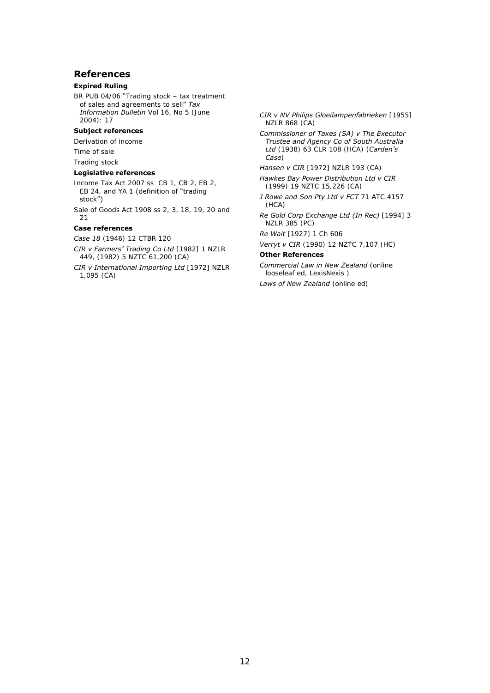### <span id="page-11-0"></span>**References**

### **Expired Ruling**

BR PUB 04/06 "Trading stock - tax treatment of sales and agreements to sell" Tax *Information Bulletin* Vol 16, No 5 (June 2004): 17

### **Subject references**

Derivation of income

Time of sale

Trading stock

#### **Legislative references**

- Income Tax Act 2007 ss CB 1, CB 2, EB 2, EB 24, and YA 1 (definition of "trading stock")
- Sale of Goods Act 1908 ss 2, 3, 18, 19, 20 and 21

### **Case references**

*Case 18* (1946) 12 CTBR 120

- *CIR v Farmers' Trading Co Ltd* [1982] 1 NZLR 449, (1982) 5 NZTC 61,200 (CA)
- *CIR v International Importing Ltd* [1972] NZLR 1,095 (CA)

*CIR v NV Philips Gloeilampenfabrieken* [1955] NZLR 868 (CA)

*Commissioner of Taxes (SA) v The Executor Trustee and Agency Co of South Australia Ltd* (1938) 63 CLR 108 (HCA) (*Carden's Case*)

#### *Hansen v CIR* [1972] NZLR 193 (CA)

*Hawkes Bay Power Distribution Ltd v CIR*  (1999) 19 NZTC 15,226 (CA)

- *J Rowe and Son Pty Ltd v FCT* 71 ATC 4157 (HCA)
- *Re Gold Corp Exchange Ltd (In Rec)* [1994] 3 NZLR 385 (PC)

*Re Wait* [1927] 1 Ch 606

*Verryt v CIR* (1990) 12 NZTC 7,107 (HC)

### **Other References**

*Commercial Law in New Zealand* (online looseleaf ed, LexisNexis )

*Laws of New Zealand* (online ed)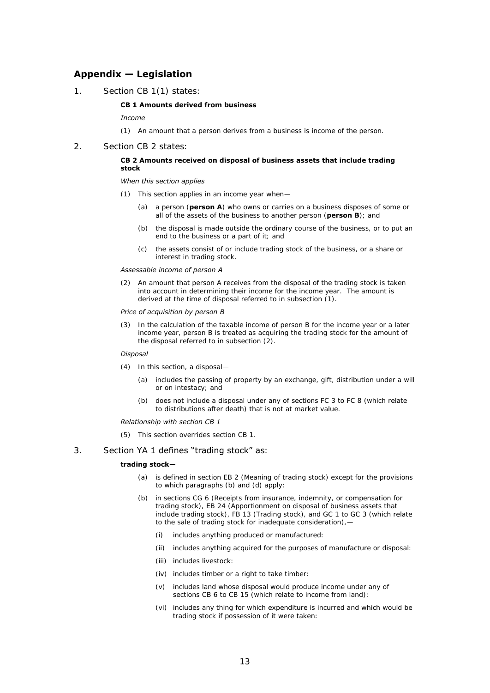## <span id="page-12-0"></span>**Appendix — Legislation**

1. Section CB 1(1) states:

#### **CB 1 Amounts derived from business**

*Income* 

- (1) An amount that a person derives from a business is income of the person.
- 2. Section CB 2 states:

#### **CB 2 Amounts received on disposal of business assets that include trading stock**

#### *When this section applies*

- (1) This section applies in an income year when—
	- (a) a person (**person A**) who owns or carries on a business disposes of some or all of the assets of the business to another person (**person B**); and
	- (b) the disposal is made outside the ordinary course of the business, or to put an end to the business or a part of it; and
	- (c) the assets consist of or include trading stock of the business, or a share or interest in trading stock.

#### *Assessable income of person A*

(2) An amount that person A receives from the disposal of the trading stock is taken into account in determining their income for the income year. The amount is derived at the time of disposal referred to in subsection (1).

#### *Price of acquisition by person B*

(3) In the calculation of the taxable income of person B for the income year or a later income year, person B is treated as acquiring the trading stock for the amount of the disposal referred to in subsection (2).

#### *Disposal*

- (4) In this section, a disposal—
	- (a) includes the passing of property by an exchange, gift, distribution under a will or on intestacy; and
	- (b) does not include a disposal under any of [sections FC 3 to FC 8](http://www.legislation.govt.nz/act/public/2007/0097/latest/link.aspx?search=ta_act_I_ac%40ainf%40anif_an%40bn%40rn_25_a&p=1&id=DLM1516383) (which relate to distributions after death) that is not at market value.

#### *Relationship with section CB 1*

(5) This section overrides [section CB 1.](http://www.legislation.govt.nz/act/public/2007/0097/latest/link.aspx?search=ta_act_I_ac%40ainf%40anif_an%40bn%40rn_25_a&p=1&id=DLM1512399)

### 3. Section YA 1 defines "trading stock" as:

#### **trading stock—**

- (a) is defined in section EB 2 (Meaning of trading stock) except for the provisions to which paragraphs (b) and (d) apply:
- (b) in sections CG 6 (Receipts from insurance, indemnity, or compensation for trading stock), EB 24 (Apportionment on disposal of business assets that include trading stock), FB 13 (Trading stock), and GC 1 to GC 3 (which relate to the sale of trading stock for inadequate consideration), -
	- (i) includes anything produced or manufactured:
	- (ii) includes anything acquired for the purposes of manufacture or disposal:
	- (iii) includes livestock:
	- (iv) includes timber or a right to take timber:
	- (v) includes land whose disposal would produce income under any of sections CB 6 to CB 15 (which relate to income from land):
	- (vi) includes any thing for which expenditure is incurred and which would be trading stock if possession of it were taken: